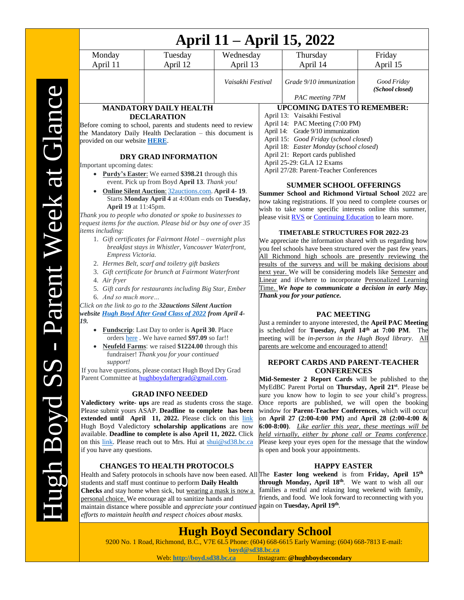| April 11 – April 15, 2022                                                                                                                                          |                                                                 |                   |                                                                                                                          |                                                                            |                                |
|--------------------------------------------------------------------------------------------------------------------------------------------------------------------|-----------------------------------------------------------------|-------------------|--------------------------------------------------------------------------------------------------------------------------|----------------------------------------------------------------------------|--------------------------------|
| Monday                                                                                                                                                             | Tuesday<br>Wednesday                                            |                   |                                                                                                                          | Thursday                                                                   | Friday                         |
| April 11                                                                                                                                                           | April 12                                                        | April 13          |                                                                                                                          | April 14                                                                   | April 15                       |
|                                                                                                                                                                    |                                                                 | Vaisakhi Festival |                                                                                                                          | Grade 9/10 immunization                                                    | Good Friday<br>(School closed) |
|                                                                                                                                                                    |                                                                 |                   |                                                                                                                          | PAC meeting 7PM                                                            |                                |
| MANDATORY DAILY HEALTH                                                                                                                                             |                                                                 |                   | <b>UPCOMING DATES TO REMEMBER:</b>                                                                                       |                                                                            |                                |
| <b>DECLARATION</b>                                                                                                                                                 |                                                                 |                   | April 13: Vaisakhi Festival                                                                                              |                                                                            |                                |
| Before coming to school, parents and students need to review                                                                                                       |                                                                 |                   |                                                                                                                          | April 14: PAC Meeting (7:00 PM)                                            |                                |
| the Mandatory Daily Health Declaration - this document is                                                                                                          |                                                                 |                   | April 14: Grade 9/10 immunization                                                                                        |                                                                            |                                |
| provided on our website HERE.                                                                                                                                      |                                                                 |                   | April 15: Good Friday (school closed)<br>April 18: Easter Monday (school closed)                                         |                                                                            |                                |
|                                                                                                                                                                    |                                                                 |                   | April 21: Report cards published                                                                                         |                                                                            |                                |
| DRY GRAD INFORMATION                                                                                                                                               |                                                                 |                   | April 25-29: GLA 12 Exams                                                                                                |                                                                            |                                |
| Important upcoming dates:                                                                                                                                          |                                                                 |                   | April 27/28: Parent-Teacher Conferences                                                                                  |                                                                            |                                |
| • Purdy's Easter: We earned \$398.21 through this<br>event. Pick up from Boyd April 13. Thank you!                                                                 |                                                                 |                   |                                                                                                                          |                                                                            |                                |
|                                                                                                                                                                    |                                                                 |                   |                                                                                                                          | <b>SUMMER SCHOOL OFFERINGS</b>                                             |                                |
| Online Silent Auction: 32auctions.com. April 4-19.<br>Starts Monday April 4 at 4:00am ends on Tuesday,                                                             |                                                                 |                   | <b>Summer School and Richmond Virtual School 2022 are</b>                                                                |                                                                            |                                |
| April 19 at 11:45pm.                                                                                                                                               |                                                                 |                   | now taking registrations. If you need to complete courses or<br>wish to take some specific interests online this summer, |                                                                            |                                |
| Thank you to people who donated or spoke to businesses to                                                                                                          |                                                                 |                   | please visit RVS or Continuing Education to learn more.                                                                  |                                                                            |                                |
|                                                                                                                                                                    | request items for the auction. Please bid or buy one of over 35 |                   |                                                                                                                          |                                                                            |                                |
| items including:                                                                                                                                                   |                                                                 |                   | <b>TIMETABLE STRUCTURES FOR 2022-23</b>                                                                                  |                                                                            |                                |
| 1. Gift certificates for Fairmont Hotel – overnight plus                                                                                                           |                                                                 |                   | We appreciate the information shared with us regarding how                                                               |                                                                            |                                |
| breakfast stays in Whistler, Vancouver Waterfront,                                                                                                                 |                                                                 |                   | you feel schools have been structured over the past few years.                                                           |                                                                            |                                |
| Empress Victoria.                                                                                                                                                  |                                                                 |                   | All Richmond high schools are presently reviewing the                                                                    |                                                                            |                                |
| 2. Hermes Belt, scarf and toiletry gift baskets                                                                                                                    |                                                                 |                   | results of the surveys and will be making decisions about<br>next year. We will be considering models like Semester and  |                                                                            |                                |
| 3. Gift certificate for brunch at Fairmont Waterfront<br>4. Air fryer                                                                                              |                                                                 |                   | Linear and if/where to incorporate Personalized Learning                                                                 |                                                                            |                                |
| 5. Gift cards for restaurants including Big Star, Ember                                                                                                            |                                                                 |                   | Time. We hope to communicate a decision in early May.                                                                    |                                                                            |                                |
| 6. And so much more                                                                                                                                                |                                                                 |                   | Thank you for your patience.                                                                                             |                                                                            |                                |
|                                                                                                                                                                    |                                                                 |                   |                                                                                                                          |                                                                            |                                |
| Click on the link to go to the 32auctions Silent Auction<br>website Hugh Boyd After Grad Class of 2022 from April 4-                                               |                                                                 |                   | <b>PAC MEETING</b>                                                                                                       |                                                                            |                                |
| 19.                                                                                                                                                                |                                                                 |                   |                                                                                                                          | Just a reminder to anyone interested, the April PAC Meeting                |                                |
| <b>Fundscrip:</b> Last Day to order is <b>April 30</b> . Place<br>$\bullet$                                                                                        |                                                                 |                   | is scheduled for Tuesday, April 14th at 7:00 PM.<br>The                                                                  |                                                                            |                                |
| orders here. We have earned \$97.09 so far!!                                                                                                                       |                                                                 |                   | meeting will be in-person in the Hugh Boyd library.<br>All                                                               |                                                                            |                                |
|                                                                                                                                                                    | Neufeld Farms: we raised \$1224.00 through this                 |                   |                                                                                                                          | parents are welcome and encouraged to attend!                              |                                |
|                                                                                                                                                                    | fundraiser! Thank you for your continued                        |                   |                                                                                                                          |                                                                            |                                |
| support!                                                                                                                                                           | If you have questions, please contact Hugh Boyd Dry Grad        |                   |                                                                                                                          | REPORT CARDS AND PARENT-TEACHER                                            |                                |
|                                                                                                                                                                    | Parent Committee at hughboydaftergrad@gmail.com.                |                   |                                                                                                                          | <b>CONFERENCES</b><br>Mid-Semester 2 Report Cards will be published to the |                                |
|                                                                                                                                                                    |                                                                 |                   |                                                                                                                          | MyEdBC Parent Portal on Thursday, April 21 <sup>st</sup> . Please be       |                                |
| <b>GRAD INFO NEEDED</b>                                                                                                                                            |                                                                 |                   | sure you know how to login to see your child's progress.                                                                 |                                                                            |                                |
| Valedictory write- ups are read as students cross the stage.                                                                                                       |                                                                 |                   | Once reports are published, we will open the booking                                                                     |                                                                            |                                |
| Please submit yours ASAP. Deadline to complete has been                                                                                                            |                                                                 |                   | window for Parent-Teacher Conferences, which will occur                                                                  |                                                                            |                                |
| extended until April 11, 2022. Please click on this link                                                                                                           |                                                                 |                   | on April 27 (2:00-4:00 PM) and April 28 (2:00-4:00 &<br>6:00-8:00). Like earlier this year, these meetings will be       |                                                                            |                                |
|                                                                                                                                                                    | Hugh Boyd Valedictory scholarship applications are now          |                   |                                                                                                                          |                                                                            |                                |
| available. Deadline to complete is also April 11, 2022. Click<br>on this link. Please reach out to Mrs. Hui at shui@sd38.bc.ca                                     |                                                                 |                   | held virtually, either by phone call or Teams conference.<br>Please keep your eyes open for the message that the window  |                                                                            |                                |
| if you have any questions.                                                                                                                                         |                                                                 |                   | is open and book your appointments.                                                                                      |                                                                            |                                |
|                                                                                                                                                                    |                                                                 |                   |                                                                                                                          |                                                                            |                                |
|                                                                                                                                                                    | <b>CHANGES TO HEALTH PROTOCOLS</b>                              |                   |                                                                                                                          | <b>HAPPY EASTER</b>                                                        |                                |
| Health and Safety protocols in schools have now been eased. All The Easter long weekend is from Friday, April 15 <sup>th</sup>                                     |                                                                 |                   |                                                                                                                          |                                                                            |                                |
| students and staff must continue to perform Daily Health                                                                                                           |                                                                 |                   | through Monday, April 18 <sup>th</sup> . We want to wish all our                                                         |                                                                            |                                |
| <b>Checks</b> and stay home when sick, but wearing a mask is now a<br>personal choice. We encourage all to sanitize hands and                                      |                                                                 |                   | families a restful and relaxing long weekend with family,<br>friends, and food. We look forward to reconnecting with you |                                                                            |                                |
|                                                                                                                                                                    |                                                                 |                   |                                                                                                                          |                                                                            |                                |
| maintain distance where possible and <i>appreciate your continued</i> again on Tuesday, April 19th.<br>efforts to maintain health and respect choices about masks. |                                                                 |                   |                                                                                                                          |                                                                            |                                |
|                                                                                                                                                                    |                                                                 |                   |                                                                                                                          |                                                                            |                                |

## **Hugh Boyd Secondary School**

9200 No. 1 Road, Richmond, B.C., V7E 6L5 Phone: (604) 668-6615 Early Warning: (604) 668-7813 E-mail:

**[boyd@sd38.bc.ca](mailto:boyd@sd38.bc.ca)**<br>Web: http://boyd.sd38.bc.ca Instagram Instagram: @hughboydsecondary